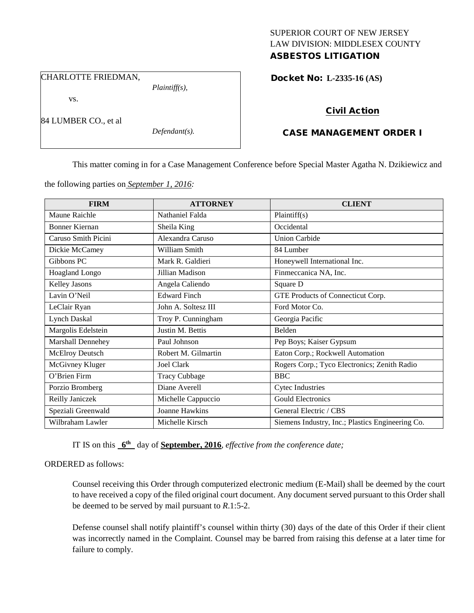# SUPERIOR COURT OF NEW JERSEY LAW DIVISION: MIDDLESEX COUNTY

## ASBESTOS LITIGATION

CHARLOTTE FRIEDMAN,

vs.

84 LUMBER CO., et al

*Defendant(s).*

*Plaintiff(s),*

Docket No: **L-2335-16 (AS)** 

## Civil Action

## CASE MANAGEMENT ORDER I

This matter coming in for a Case Management Conference before Special Master Agatha N. Dzikiewicz and

the following parties on *September 1, 2016:*

| <b>FIRM</b>           | <b>ATTORNEY</b>      | <b>CLIENT</b>                                    |
|-----------------------|----------------------|--------------------------------------------------|
| Maune Raichle         | Nathaniel Falda      | Plaintiff(s)                                     |
| <b>Bonner Kiernan</b> | Sheila King          | Occidental                                       |
| Caruso Smith Picini   | Alexandra Caruso     | <b>Union Carbide</b>                             |
| Dickie McCamey        | William Smith        | 84 Lumber                                        |
| Gibbons PC            | Mark R. Galdieri     | Honeywell International Inc.                     |
| Hoagland Longo        | Jillian Madison      | Finmeccanica NA, Inc.                            |
| Kelley Jasons         | Angela Caliendo      | Square D                                         |
| Lavin O'Neil          | <b>Edward Finch</b>  | GTE Products of Connecticut Corp.                |
| LeClair Ryan          | John A. Soltesz III  | Ford Motor Co.                                   |
| <b>Lynch Daskal</b>   | Troy P. Cunningham   | Georgia Pacific                                  |
| Margolis Edelstein    | Justin M. Bettis     | Belden                                           |
| Marshall Dennehey     | Paul Johnson         | Pep Boys; Kaiser Gypsum                          |
| McElroy Deutsch       | Robert M. Gilmartin  | Eaton Corp.; Rockwell Automation                 |
| McGivney Kluger       | Joel Clark           | Rogers Corp.; Tyco Electronics; Zenith Radio     |
| O'Brien Firm          | <b>Tracy Cubbage</b> | <b>BBC</b>                                       |
| Porzio Bromberg       | Diane Averell        | <b>Cytec Industries</b>                          |
| Reilly Janiczek       | Michelle Cappuccio   | <b>Gould Electronics</b>                         |
| Speziali Greenwald    | Joanne Hawkins       | General Electric / CBS                           |
| Wilbraham Lawler      | Michelle Kirsch      | Siemens Industry, Inc.; Plastics Engineering Co. |

IT IS on this **6th** day of **September, 2016**, *effective from the conference date;*

ORDERED as follows:

Counsel receiving this Order through computerized electronic medium (E-Mail) shall be deemed by the court to have received a copy of the filed original court document. Any document served pursuant to this Order shall be deemed to be served by mail pursuant to *R*.1:5-2.

Defense counsel shall notify plaintiff's counsel within thirty (30) days of the date of this Order if their client was incorrectly named in the Complaint. Counsel may be barred from raising this defense at a later time for failure to comply.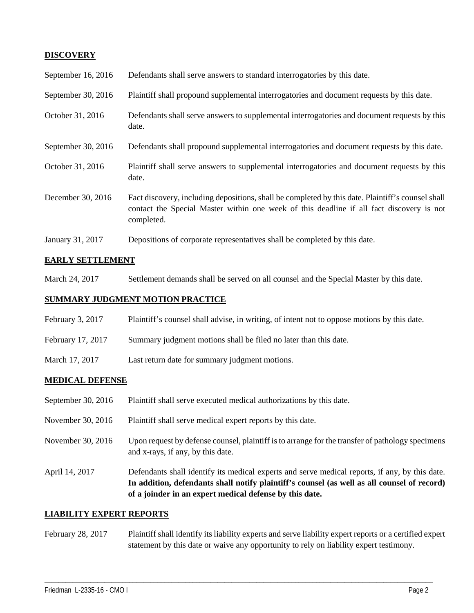### **DISCOVERY**

| September 16, 2016 | Defendants shall serve answers to standard interrogatories by this date.                                                                                                                                    |
|--------------------|-------------------------------------------------------------------------------------------------------------------------------------------------------------------------------------------------------------|
| September 30, 2016 | Plaintiff shall propound supplemental interrogatories and document requests by this date.                                                                                                                   |
| October 31, 2016   | Defendants shall serve answers to supplemental interrogatories and document requests by this<br>date.                                                                                                       |
| September 30, 2016 | Defendants shall propound supplemental interrogatories and document requests by this date.                                                                                                                  |
| October 31, 2016   | Plaintiff shall serve answers to supplemental interrogatories and document requests by this<br>date.                                                                                                        |
| December 30, 2016  | Fact discovery, including depositions, shall be completed by this date. Plaintiff's counsel shall<br>contact the Special Master within one week of this deadline if all fact discovery is not<br>completed. |
| January 31, 2017   | Depositions of corporate representatives shall be completed by this date.                                                                                                                                   |

#### **EARLY SETTLEMENT**

March 24, 2017 Settlement demands shall be served on all counsel and the Special Master by this date.

#### **SUMMARY JUDGMENT MOTION PRACTICE**

| February 3, 2017  | Plaintiff's counsel shall advise, in writing, of intent not to oppose motions by this date. |
|-------------------|---------------------------------------------------------------------------------------------|
| February 17, 2017 | Summary judgment motions shall be filed no later than this date.                            |
| March 17, 2017    | Last return date for summary judgment motions.                                              |

#### **MEDICAL DEFENSE**

- September 30, 2016 Plaintiff shall serve executed medical authorizations by this date.
- November 30, 2016 Plaintiff shall serve medical expert reports by this date.
- November 30, 2016 Upon request by defense counsel, plaintiff is to arrange for the transfer of pathology specimens and x-rays, if any, by this date.
- April 14, 2017 Defendants shall identify its medical experts and serve medical reports, if any, by this date. **In addition, defendants shall notify plaintiff's counsel (as well as all counsel of record) of a joinder in an expert medical defense by this date.**

#### **LIABILITY EXPERT REPORTS**

February 28, 2017 Plaintiff shall identify its liability experts and serve liability expert reports or a certified expert statement by this date or waive any opportunity to rely on liability expert testimony.

\_\_\_\_\_\_\_\_\_\_\_\_\_\_\_\_\_\_\_\_\_\_\_\_\_\_\_\_\_\_\_\_\_\_\_\_\_\_\_\_\_\_\_\_\_\_\_\_\_\_\_\_\_\_\_\_\_\_\_\_\_\_\_\_\_\_\_\_\_\_\_\_\_\_\_\_\_\_\_\_\_\_\_\_\_\_\_\_\_\_\_\_\_\_\_\_\_\_\_\_\_\_\_\_\_\_\_\_\_\_